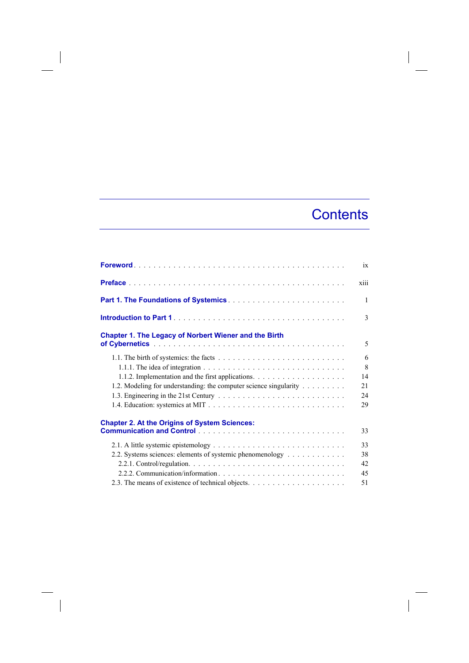## **Contents**

 $\overline{\phantom{a}}$ 

|                                                                   | ix          |
|-------------------------------------------------------------------|-------------|
|                                                                   | <b>X111</b> |
| <b>Part 1. The Foundations of Systemics</b>                       | 1           |
|                                                                   | 3           |
| <b>Chapter 1. The Legacy of Norbert Wiener and the Birth</b>      |             |
|                                                                   | 5           |
|                                                                   | 6           |
|                                                                   | 8           |
|                                                                   | 14          |
| 1.2. Modeling for understanding: the computer science singularity | 21          |
|                                                                   | 24          |
|                                                                   | 29          |
| <b>Chapter 2. At the Origins of System Sciences:</b>              |             |
|                                                                   | 33          |
|                                                                   | 33          |
| 2.2. Systems sciences: elements of systemic phenomenology         | 38          |
|                                                                   | 42          |
| 2.2.2. Communication/information                                  | 45          |
|                                                                   | 51          |

 $\begin{array}{c} \hline \end{array}$ 

 $\overline{\phantom{a}}$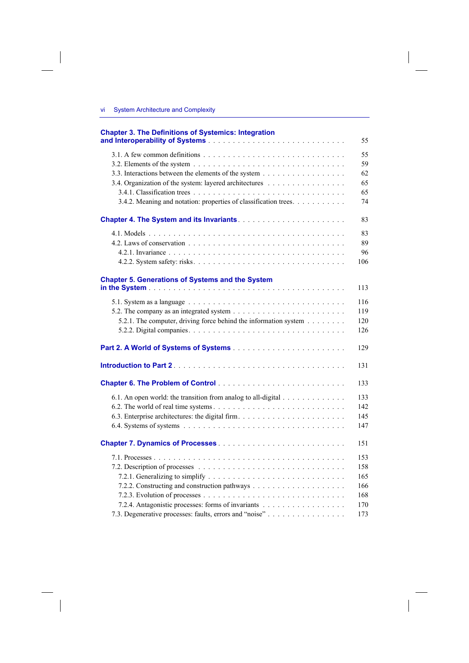$\overline{\phantom{a}}$ 

 $\overline{\phantom{a}}$ 

| <b>Chapter 3. The Definitions of Systemics: Integration</b>                                                  | 55  |
|--------------------------------------------------------------------------------------------------------------|-----|
|                                                                                                              |     |
| 3.1. A few common definitions $\ldots \ldots \ldots \ldots \ldots \ldots \ldots \ldots \ldots \ldots \ldots$ | 55  |
|                                                                                                              | 59  |
| 3.3. Interactions between the elements of the system                                                         | 62  |
| 3.4. Organization of the system: layered architectures                                                       | 65  |
|                                                                                                              | 65  |
| 3.4.2. Meaning and notation: properties of classification trees.                                             | 74  |
| <b>Chapter 4. The System and its Invariants</b>                                                              | 83  |
|                                                                                                              | 83  |
|                                                                                                              | 89  |
|                                                                                                              | 96  |
|                                                                                                              | 106 |
|                                                                                                              |     |
| <b>Chapter 5. Generations of Systems and the System</b>                                                      | 113 |
|                                                                                                              |     |
|                                                                                                              | 116 |
|                                                                                                              | 119 |
| 5.2.1. The computer, driving force behind the information system                                             | 120 |
|                                                                                                              | 126 |
|                                                                                                              | 129 |
|                                                                                                              | 131 |
|                                                                                                              |     |
|                                                                                                              | 133 |
| 6.1. An open world: the transition from analog to all-digital                                                | 133 |
|                                                                                                              | 142 |
|                                                                                                              | 145 |
|                                                                                                              | 147 |
|                                                                                                              | 151 |
|                                                                                                              |     |
|                                                                                                              | 153 |
|                                                                                                              | 158 |
|                                                                                                              | 165 |
|                                                                                                              | 166 |
|                                                                                                              | 168 |
| 7.2.4. Antagonistic processes: forms of invariants                                                           | 170 |
| 7.3. Degenerative processes: faults, errors and "noise"                                                      | 173 |